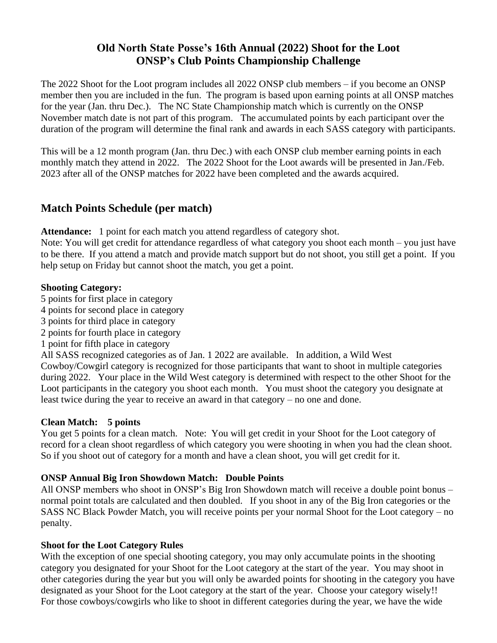## **Old North State Posse's 16th Annual (2022) Shoot for the Loot ONSP's Club Points Championship Challenge**

The 2022 Shoot for the Loot program includes all 2022 ONSP club members – if you become an ONSP member then you are included in the fun. The program is based upon earning points at all ONSP matches for the year (Jan. thru Dec.). The NC State Championship match which is currently on the ONSP November match date is not part of this program. The accumulated points by each participant over the duration of the program will determine the final rank and awards in each SASS category with participants.

This will be a 12 month program (Jan. thru Dec.) with each ONSP club member earning points in each monthly match they attend in 2022. The 2022 Shoot for the Loot awards will be presented in Jan./Feb. 2023 after all of the ONSP matches for 2022 have been completed and the awards acquired.

## **Match Points Schedule (per match)**

Attendance: 1 point for each match you attend regardless of category shot.

Note: You will get credit for attendance regardless of what category you shoot each month – you just have to be there. If you attend a match and provide match support but do not shoot, you still get a point. If you help setup on Friday but cannot shoot the match, you get a point.

#### **Shooting Category:**

- 5 points for first place in category
- 4 points for second place in category
- 3 points for third place in category
- 2 points for fourth place in category
- 1 point for fifth place in category

All SASS recognized categories as of Jan. 1 2022 are available. In addition, a Wild West Cowboy/Cowgirl category is recognized for those participants that want to shoot in multiple categories during 2022. Your place in the Wild West category is determined with respect to the other Shoot for the Loot participants in the category you shoot each month. You must shoot the category you designate at least twice during the year to receive an award in that category – no one and done.

### **Clean Match: 5 points**

You get 5 points for a clean match. Note: You will get credit in your Shoot for the Loot category of record for a clean shoot regardless of which category you were shooting in when you had the clean shoot. So if you shoot out of category for a month and have a clean shoot, you will get credit for it.

### **ONSP Annual Big Iron Showdown Match: Double Points**

All ONSP members who shoot in ONSP's Big Iron Showdown match will receive a double point bonus – normal point totals are calculated and then doubled. If you shoot in any of the Big Iron categories or the SASS NC Black Powder Match, you will receive points per your normal Shoot for the Loot category – no penalty.

### **Shoot for the Loot Category Rules**

With the exception of one special shooting category, you may only accumulate points in the shooting category you designated for your Shoot for the Loot category at the start of the year. You may shoot in other categories during the year but you will only be awarded points for shooting in the category you have designated as your Shoot for the Loot category at the start of the year. Choose your category wisely!! For those cowboys/cowgirls who like to shoot in different categories during the year, we have the wide